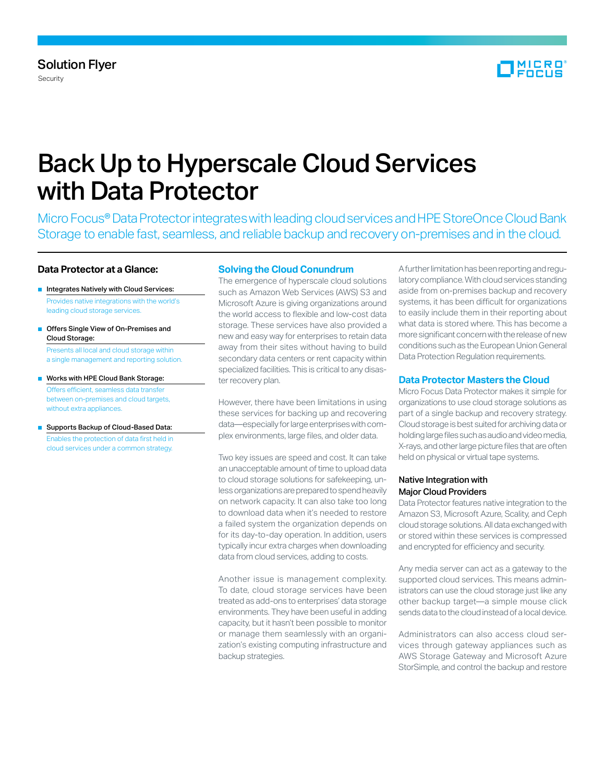

# Back Up to Hyperscale Cloud Services with Data Protector

Micro Focus® Data Protector integrates with leading cloud services and HPE StoreOnce Cloud Bank Storage to enable fast, seamless, and reliable backup and recovery on-premises and in the cloud.

# **Data Protector at a Glance:**

- Integrates Natively with Cloud Services: Provides native integrations with the world's leading cloud storage services.
- Offers Single View of On-Premises and Cloud Storage: Presents all local and cloud storage within a single management and reporting solution.
- Works with HPE Cloud Bank Storage: Offers efficient, seamless data transfer between on-premises and cloud targets, without extra appliances.
- Supports Backup of Cloud-Based Data: Enables the protection of data first held in cloud services under a common strategy.

# **Solving the Cloud Conundrum**

The emergence of hyperscale cloud solutions such as Amazon Web Services (AWS) S3 and Microsoft Azure is giving organizations around the world access to flexible and low-cost data storage. These services have also provided a new and easy way for enterprises to retain data away from their sites without having to build secondary data centers or rent capacity within specialized facilities. This is critical to any disaster recovery plan.

However, there have been limitations in using these services for backing up and recovering data—especially for large enterprises with complex environments, large files, and older data.

Two key issues are speed and cost. It can take an unacceptable amount of time to upload data to cloud storage solutions for safekeeping, unless organizations are prepared to spend heavily on network capacity. It can also take too long to download data when it's needed to restore a failed system the organization depends on for its day-to-day operation. In addition, users typically incur extra charges when downloading data from cloud services, adding to costs.

Another issue is management complexity. To date, cloud storage services have been treated as add-ons to enterprises' data storage environments. They have been useful in adding capacity, but it hasn't been possible to monitor or manage them seamlessly with an organization's existing computing infrastructure and backup strategies.

A further limitation has been reporting and regulatory compliance. With cloud services standing aside from on-premises backup and recovery systems, it has been difficult for organizations to easily include them in their reporting about what data is stored where. This has become a more significant concern with the release of new conditions such as the European Union General Data Protection Regulation requirements.

## **Data Protector Masters the Cloud**

Micro Focus Data Protector makes it simple for organizations to use cloud storage solutions as part of a single backup and recovery strategy. Cloud storage is best suited for archiving data or holding large files such as audio and video media, X-rays, and other large picture files that are often held on physical or virtual tape systems.

## Native Integration with Major Cloud Providers

Data Protector features native integration to the Amazon S3, Microsoft Azure, Scality, and Ceph cloud storage solutions. All data exchanged with or stored within these services is compressed and encrypted for efficiency and security.

Any media server can act as a gateway to the supported cloud services. This means administrators can use the cloud storage just like any other backup target—a simple mouse click sends data to the cloud instead of a local device.

Administrators can also access cloud services through gateway appliances such as AWS Storage Gateway and Microsoft Azure StorSimple, and control the backup and restore